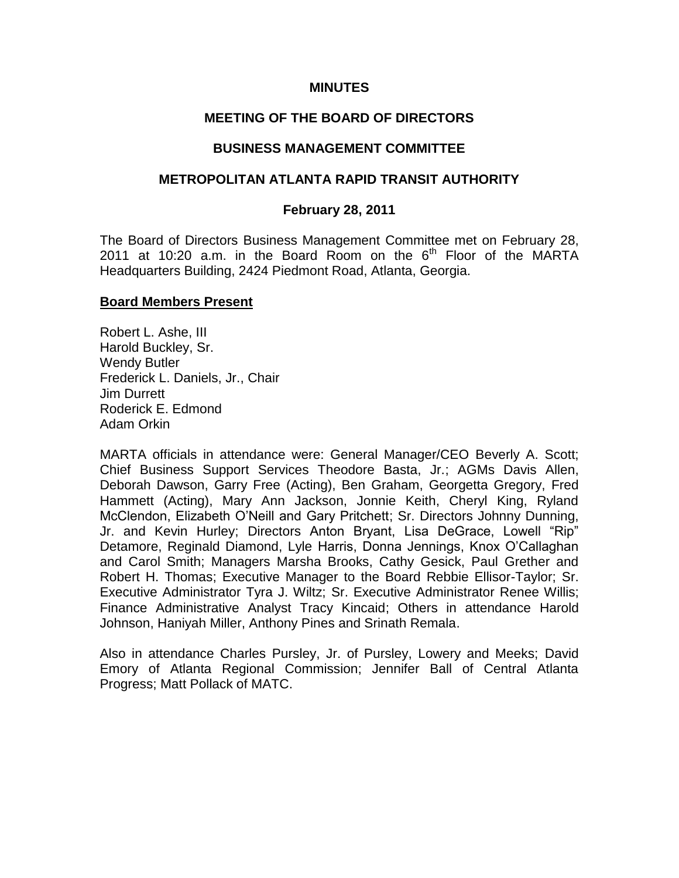#### **MINUTES**

## **MEETING OF THE BOARD OF DIRECTORS**

#### **BUSINESS MANAGEMENT COMMITTEE**

#### **METROPOLITAN ATLANTA RAPID TRANSIT AUTHORITY**

#### **February 28, 2011**

The Board of Directors Business Management Committee met on February 28, 2011 at 10:20 a.m. in the Board Room on the  $6<sup>th</sup>$  Floor of the MARTA Headquarters Building, 2424 Piedmont Road, Atlanta, Georgia.

#### **Board Members Present**

Robert L. Ashe, III Harold Buckley, Sr. Wendy Butler Frederick L. Daniels, Jr., Chair Jim Durrett Roderick E. Edmond Adam Orkin

MARTA officials in attendance were: General Manager/CEO Beverly A. Scott; Chief Business Support Services Theodore Basta, Jr.; AGMs Davis Allen, Deborah Dawson, Garry Free (Acting), Ben Graham, Georgetta Gregory, Fred Hammett (Acting), Mary Ann Jackson, Jonnie Keith, Cheryl King, Ryland McClendon, Elizabeth O'Neill and Gary Pritchett; Sr. Directors Johnny Dunning, Jr. and Kevin Hurley; Directors Anton Bryant, Lisa DeGrace, Lowell "Rip" Detamore, Reginald Diamond, Lyle Harris, Donna Jennings, Knox O'Callaghan and Carol Smith; Managers Marsha Brooks, Cathy Gesick, Paul Grether and Robert H. Thomas; Executive Manager to the Board Rebbie Ellisor-Taylor; Sr. Executive Administrator Tyra J. Wiltz; Sr. Executive Administrator Renee Willis; Finance Administrative Analyst Tracy Kincaid; Others in attendance Harold Johnson, Haniyah Miller, Anthony Pines and Srinath Remala.

Also in attendance Charles Pursley, Jr. of Pursley, Lowery and Meeks; David Emory of Atlanta Regional Commission; Jennifer Ball of Central Atlanta Progress; Matt Pollack of MATC.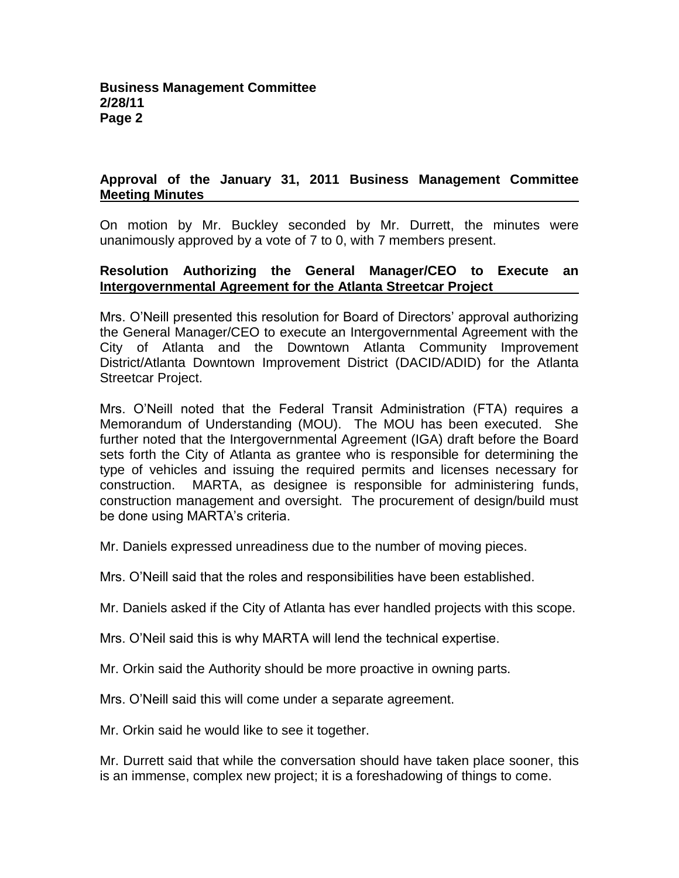# **Approval of the January 31, 2011 Business Management Committee Meeting Minutes**

On motion by Mr. Buckley seconded by Mr. Durrett, the minutes were unanimously approved by a vote of 7 to 0, with 7 members present.

## **Resolution Authorizing the General Manager/CEO to Execute an Intergovernmental Agreement for the Atlanta Streetcar Project**

Mrs. O'Neill presented this resolution for Board of Directors' approval authorizing the General Manager/CEO to execute an Intergovernmental Agreement with the City of Atlanta and the Downtown Atlanta Community Improvement District/Atlanta Downtown Improvement District (DACID/ADID) for the Atlanta Streetcar Project.

Mrs. O'Neill noted that the Federal Transit Administration (FTA) requires a Memorandum of Understanding (MOU). The MOU has been executed. She further noted that the Intergovernmental Agreement (IGA) draft before the Board sets forth the City of Atlanta as grantee who is responsible for determining the type of vehicles and issuing the required permits and licenses necessary for construction. MARTA, as designee is responsible for administering funds, construction management and oversight. The procurement of design/build must be done using MARTA's criteria.

Mr. Daniels expressed unreadiness due to the number of moving pieces.

Mrs. O'Neill said that the roles and responsibilities have been established.

Mr. Daniels asked if the City of Atlanta has ever handled projects with this scope.

Mrs. O'Neil said this is why MARTA will lend the technical expertise.

Mr. Orkin said the Authority should be more proactive in owning parts.

Mrs. O'Neill said this will come under a separate agreement.

Mr. Orkin said he would like to see it together.

Mr. Durrett said that while the conversation should have taken place sooner, this is an immense, complex new project; it is a foreshadowing of things to come.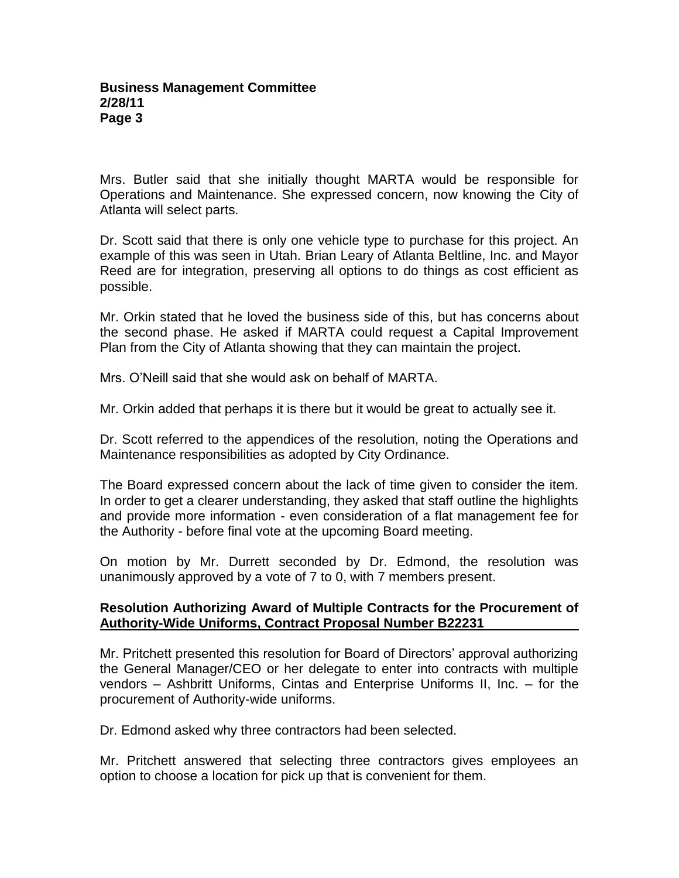Mrs. Butler said that she initially thought MARTA would be responsible for Operations and Maintenance. She expressed concern, now knowing the City of Atlanta will select parts.

Dr. Scott said that there is only one vehicle type to purchase for this project. An example of this was seen in Utah. Brian Leary of Atlanta Beltline, Inc. and Mayor Reed are for integration, preserving all options to do things as cost efficient as possible.

Mr. Orkin stated that he loved the business side of this, but has concerns about the second phase. He asked if MARTA could request a Capital Improvement Plan from the City of Atlanta showing that they can maintain the project.

Mrs. O'Neill said that she would ask on behalf of MARTA.

Mr. Orkin added that perhaps it is there but it would be great to actually see it.

Dr. Scott referred to the appendices of the resolution, noting the Operations and Maintenance responsibilities as adopted by City Ordinance.

The Board expressed concern about the lack of time given to consider the item. In order to get a clearer understanding, they asked that staff outline the highlights and provide more information - even consideration of a flat management fee for the Authority - before final vote at the upcoming Board meeting.

On motion by Mr. Durrett seconded by Dr. Edmond, the resolution was unanimously approved by a vote of 7 to 0, with 7 members present.

## **Resolution Authorizing Award of Multiple Contracts for the Procurement of Authority-Wide Uniforms, Contract Proposal Number B22231**

Mr. Pritchett presented this resolution for Board of Directors' approval authorizing the General Manager/CEO or her delegate to enter into contracts with multiple vendors – Ashbritt Uniforms, Cintas and Enterprise Uniforms II, Inc. – for the procurement of Authority-wide uniforms.

Dr. Edmond asked why three contractors had been selected.

Mr. Pritchett answered that selecting three contractors gives employees an option to choose a location for pick up that is convenient for them.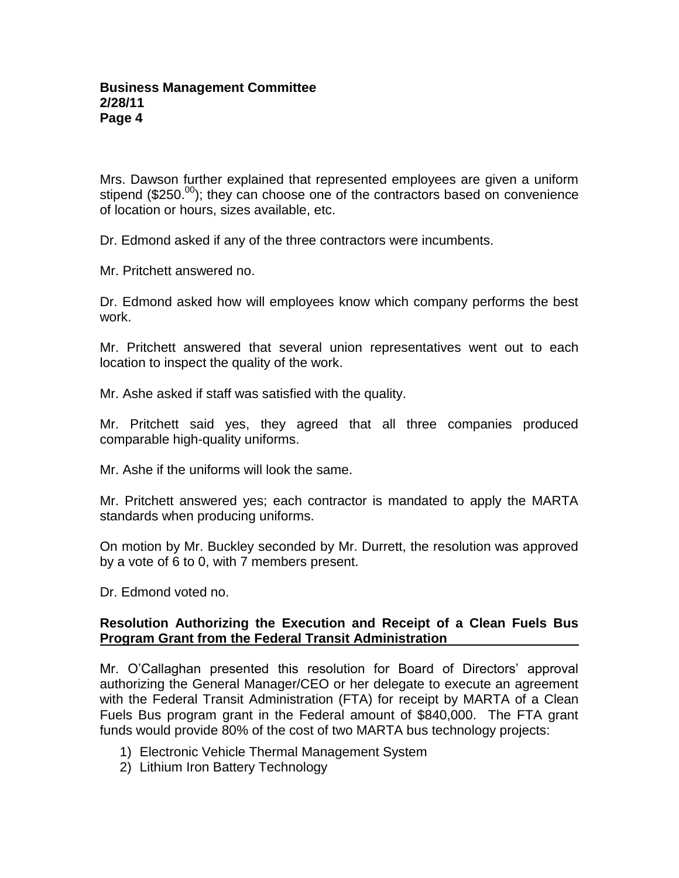Mrs. Dawson further explained that represented employees are given a uniform stipend ( $$250.00$ ); they can choose one of the contractors based on convenience of location or hours, sizes available, etc.

Dr. Edmond asked if any of the three contractors were incumbents.

Mr. Pritchett answered no.

Dr. Edmond asked how will employees know which company performs the best work.

Mr. Pritchett answered that several union representatives went out to each location to inspect the quality of the work.

Mr. Ashe asked if staff was satisfied with the quality.

Mr. Pritchett said yes, they agreed that all three companies produced comparable high-quality uniforms.

Mr. Ashe if the uniforms will look the same.

Mr. Pritchett answered yes; each contractor is mandated to apply the MARTA standards when producing uniforms.

On motion by Mr. Buckley seconded by Mr. Durrett, the resolution was approved by a vote of 6 to 0, with 7 members present.

Dr. Edmond voted no.

## **Resolution Authorizing the Execution and Receipt of a Clean Fuels Bus Program Grant from the Federal Transit Administration**

Mr. O'Callaghan presented this resolution for Board of Directors' approval authorizing the General Manager/CEO or her delegate to execute an agreement with the Federal Transit Administration (FTA) for receipt by MARTA of a Clean Fuels Bus program grant in the Federal amount of \$840,000. The FTA grant funds would provide 80% of the cost of two MARTA bus technology projects:

- 1) Electronic Vehicle Thermal Management System
- 2) Lithium Iron Battery Technology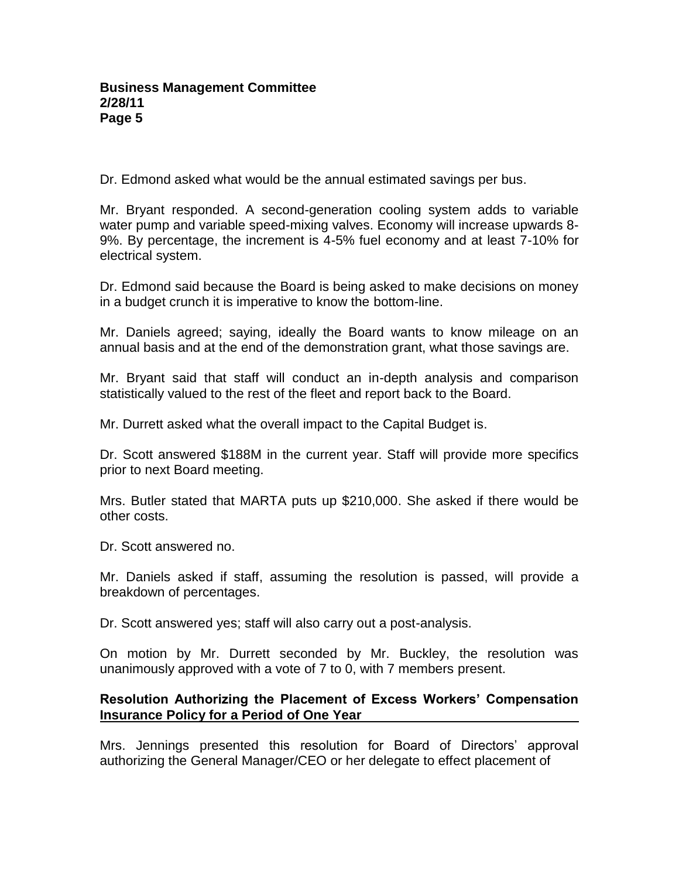Dr. Edmond asked what would be the annual estimated savings per bus.

Mr. Bryant responded. A second-generation cooling system adds to variable water pump and variable speed-mixing valves. Economy will increase upwards 8- 9%. By percentage, the increment is 4-5% fuel economy and at least 7-10% for electrical system.

Dr. Edmond said because the Board is being asked to make decisions on money in a budget crunch it is imperative to know the bottom-line.

Mr. Daniels agreed; saying, ideally the Board wants to know mileage on an annual basis and at the end of the demonstration grant, what those savings are.

Mr. Bryant said that staff will conduct an in-depth analysis and comparison statistically valued to the rest of the fleet and report back to the Board.

Mr. Durrett asked what the overall impact to the Capital Budget is.

Dr. Scott answered \$188M in the current year. Staff will provide more specifics prior to next Board meeting.

Mrs. Butler stated that MARTA puts up \$210,000. She asked if there would be other costs.

Dr. Scott answered no.

Mr. Daniels asked if staff, assuming the resolution is passed, will provide a breakdown of percentages.

Dr. Scott answered yes; staff will also carry out a post-analysis.

On motion by Mr. Durrett seconded by Mr. Buckley, the resolution was unanimously approved with a vote of 7 to 0, with 7 members present.

# **Resolution Authorizing the Placement of Excess Workers' Compensation Insurance Policy for a Period of One Year**

Mrs. Jennings presented this resolution for Board of Directors' approval authorizing the General Manager/CEO or her delegate to effect placement of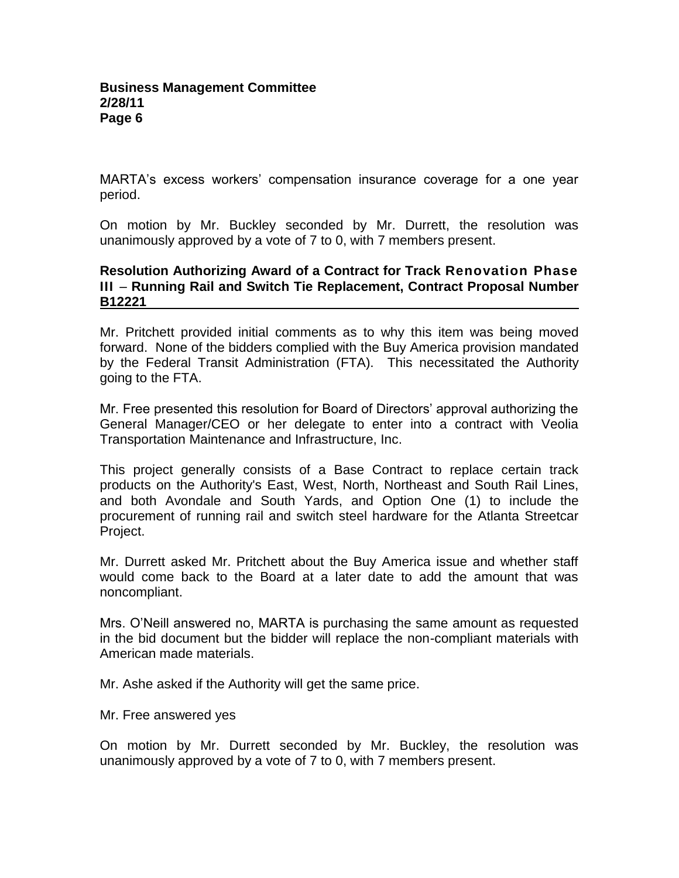MARTA's excess workers' compensation insurance coverage for a one year period.

On motion by Mr. Buckley seconded by Mr. Durrett, the resolution was unanimously approved by a vote of 7 to 0, with 7 members present.

## **Resolution Authorizing Award of a Contract for Track Renovation Phase III** – **Running Rail and Switch Tie Replacement, Contract Proposal Number B12221**

Mr. Pritchett provided initial comments as to why this item was being moved forward. None of the bidders complied with the Buy America provision mandated by the Federal Transit Administration (FTA). This necessitated the Authority going to the FTA.

Mr. Free presented this resolution for Board of Directors' approval authorizing the General Manager/CEO or her delegate to enter into a contract with Veolia Transportation Maintenance and Infrastructure, Inc.

This project generally consists of a Base Contract to replace certain track products on the Authority's East, West, North, Northeast and South Rail Lines, and both Avondale and South Yards, and Option One (1) to include the procurement of running rail and switch steel hardware for the Atlanta Streetcar Project.

Mr. Durrett asked Mr. Pritchett about the Buy America issue and whether staff would come back to the Board at a later date to add the amount that was noncompliant.

Mrs. O'Neill answered no, MARTA is purchasing the same amount as requested in the bid document but the bidder will replace the non-compliant materials with American made materials.

Mr. Ashe asked if the Authority will get the same price.

Mr. Free answered yes

On motion by Mr. Durrett seconded by Mr. Buckley, the resolution was unanimously approved by a vote of 7 to 0, with 7 members present.